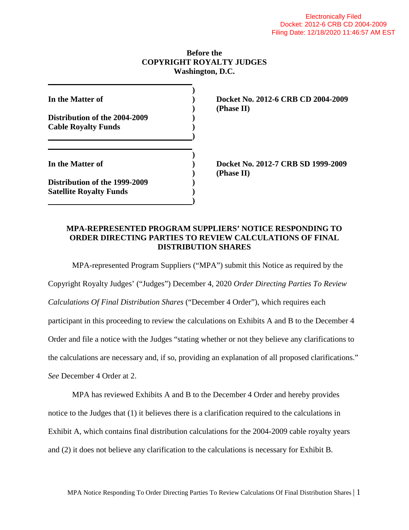### **Before the COPYRIGHT ROYALTY JUDGES Washington, D.C.**

| In the Matter of                                                |  |
|-----------------------------------------------------------------|--|
| Distribution of the 2004-2009<br><b>Cable Royalty Funds</b>     |  |
| In the Matter of                                                |  |
| Distribution of the 1999-2009<br><b>Satellite Royalty Funds</b> |  |

**In the Matter of ) Docket No. 2012-6 CRB CD 2004-2009 ) (Phase II)**

**In the Matter of ) Docket No. 2012-7 CRB SD 1999-2009 ) (Phase II)**

## **MPA-REPRESENTED PROGRAM SUPPLIERS' NOTICE RESPONDING TO ORDER DIRECTING PARTIES TO REVIEW CALCULATIONS OF FINAL DISTRIBUTION SHARES**

MPA-represented Program Suppliers ("MPA") submit this Notice as required by the

Copyright Royalty Judges' ("Judges") December 4, 2020 *Order Directing Parties To Review Calculations Of Final Distribution Shares* ("December 4 Order"), which requires each participant in this proceeding to review the calculations on Exhibits A and B to the December 4 Order and file a notice with the Judges "stating whether or not they believe any clarifications to the calculations are necessary and, if so, providing an explanation of all proposed clarifications." *See* December 4 Order at 2.

MPA has reviewed Exhibits A and B to the December 4 Order and hereby provides notice to the Judges that (1) it believes there is a clarification required to the calculations in Exhibit A, which contains final distribution calculations for the 2004-2009 cable royalty years and (2) it does not believe any clarification to the calculations is necessary for Exhibit B.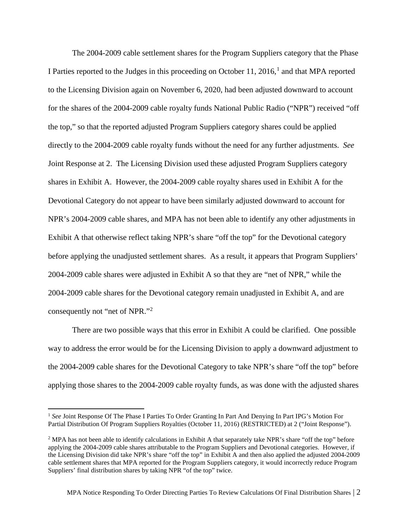The 2004-2009 cable settlement shares for the Program Suppliers category that the Phase I Parties reported to the Judges in this proceeding on October [1](#page-1-0)1, 2016, $<sup>1</sup>$  and that MPA reported</sup> to the Licensing Division again on November 6, 2020, had been adjusted downward to account for the shares of the 2004-2009 cable royalty funds National Public Radio ("NPR") received "off the top," so that the reported adjusted Program Suppliers category shares could be applied directly to the 2004-2009 cable royalty funds without the need for any further adjustments. *See*  Joint Response at 2. The Licensing Division used these adjusted Program Suppliers category shares in Exhibit A. However, the 2004-2009 cable royalty shares used in Exhibit A for the Devotional Category do not appear to have been similarly adjusted downward to account for NPR's 2004-2009 cable shares, and MPA has not been able to identify any other adjustments in Exhibit A that otherwise reflect taking NPR's share "off the top" for the Devotional category before applying the unadjusted settlement shares. As a result, it appears that Program Suppliers' 2004-2009 cable shares were adjusted in Exhibit A so that they are "net of NPR," while the 2004-2009 cable shares for the Devotional category remain unadjusted in Exhibit A, and are consequently not "net of NPR."<sup>[2](#page-1-1)</sup>

There are two possible ways that this error in Exhibit A could be clarified. One possible way to address the error would be for the Licensing Division to apply a downward adjustment to the 2004-2009 cable shares for the Devotional Category to take NPR's share "off the top" before applying those shares to the 2004-2009 cable royalty funds, as was done with the adjusted shares

<span id="page-1-0"></span><sup>&</sup>lt;sup>1</sup> See Joint Response Of The Phase I Parties To Order Granting In Part And Denying In Part IPG's Motion For Partial Distribution Of Program Suppliers Royalties (October 11, 2016) (RESTRICTED) at 2 ("Joint Response").

<span id="page-1-1"></span><sup>&</sup>lt;sup>2</sup> MPA has not been able to identify calculations in Exhibit A that separately take NPR's share "off the top" before applying the 2004-2009 cable shares attributable to the Program Suppliers and Devotional categories. However, if the Licensing Division did take NPR's share "off the top" in Exhibit A and then also applied the adjusted 2004-2009 cable settlement shares that MPA reported for the Program Suppliers category, it would incorrectly reduce Program Suppliers' final distribution shares by taking NPR "of the top" twice.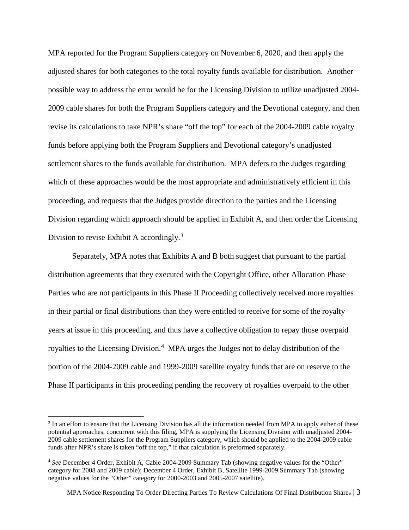MPA reported for the Program Suppliers category on November 6, 2020, and then apply the adjusted shares for both categories to the total royalty funds available for distribution. Another possible way to address the error would be for the Licensing Division to utilize unadjusted 2004- 2009 cable shares for both the Program Suppliers category and the Devotional category, and then revise its calculations to take NPR's share "off the top" for each of the 2004-2009 cable royalty funds before applying both the Program Suppliers and Devotional category's unadjusted settlement shares to the funds available for distribution. MPA defers to the Judges regarding which of these approaches would be the most appropriate and administratively efficient in this proceeding, and requests that the Judges provide direction to the parties and the Licensing Division regarding which approach should be applied in Exhibit A, and then order the Licensing Division to revise Exhibit A accordingly.<sup>[3](#page-2-0)</sup>

Separately, MPA notes that Exhibits A and B both suggest that pursuant to the partial distribution agreements that they executed with the Copyright Office, other Allocation Phase Parties who are not participants in this Phase II Proceeding collectively received more royalties in their partial or final distributions than they were entitled to receive for some of the royalty years at issue in this proceeding, and thus have a collective obligation to repay those overpaid royalties to the Licensing Division.<sup>[4](#page-2-1)</sup> MPA urges the Judges not to delay distribution of the portion of the 2004-2009 cable and 1999-2009 satellite royalty funds that are on reserve to the Phase II participants in this proceeding pending the recovery of royalties overpaid to the other

<span id="page-2-0"></span><sup>&</sup>lt;sup>3</sup> In an effort to ensure that the Licensing Division has all the information needed from MPA to apply either of these potential approaches, concurrent with this filing, MPA is supplying the Licensing Division with unadjusted 2004- 2009 cable settlement shares for the Program Suppliers category, which should be applied to the 2004-2009 cable funds after NPR's share is taken "off the top," if that calculation is preformed separately.

<span id="page-2-1"></span><sup>4</sup> *See* December 4 Order, Exhibit A, Cable 2004-2009 Summary Tab (showing negative values for the "Other" category for 2008 and 2009 cable); December 4 Order, Exhibit B, Satellite 1999-2009 Summary Tab (showing negative values for the "Other" category for 2000-2003 and 2005-2007 satellite).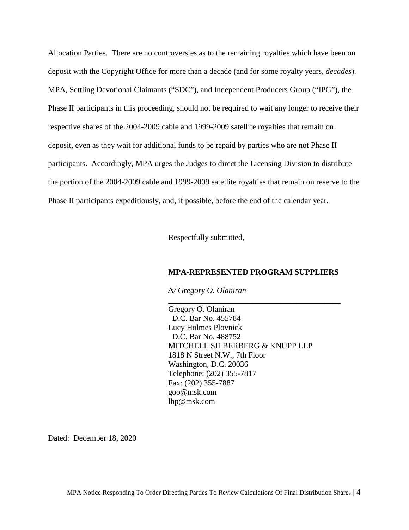Allocation Parties. There are no controversies as to the remaining royalties which have been on deposit with the Copyright Office for more than a decade (and for some royalty years, *decades*). MPA, Settling Devotional Claimants ("SDC"), and Independent Producers Group ("IPG"), the Phase II participants in this proceeding, should not be required to wait any longer to receive their respective shares of the 2004-2009 cable and 1999-2009 satellite royalties that remain on deposit, even as they wait for additional funds to be repaid by parties who are not Phase II participants. Accordingly, MPA urges the Judges to direct the Licensing Division to distribute the portion of the 2004-2009 cable and 1999-2009 satellite royalties that remain on reserve to the Phase II participants expeditiously, and, if possible, before the end of the calendar year.

Respectfully submitted,

#### **MPA-REPRESENTED PROGRAM SUPPLIERS**

**\_\_\_\_\_\_\_\_\_\_\_\_\_\_\_\_\_\_\_\_\_\_\_\_\_\_\_\_\_\_\_\_\_\_\_\_\_\_\_\_\_\_\_**

*/s/ Gregory O. Olaniran*

Gregory O. Olaniran D.C. Bar No. 455784 Lucy Holmes Plovnick D.C. Bar No. 488752 MITCHELL SILBERBERG & KNUPP LLP 1818 N Street N.W., 7th Floor Washington, D.C. 20036 Telephone: (202) 355-7817 Fax: (202) 355-7887 goo@msk.com lhp@msk.com

Dated: December 18, 2020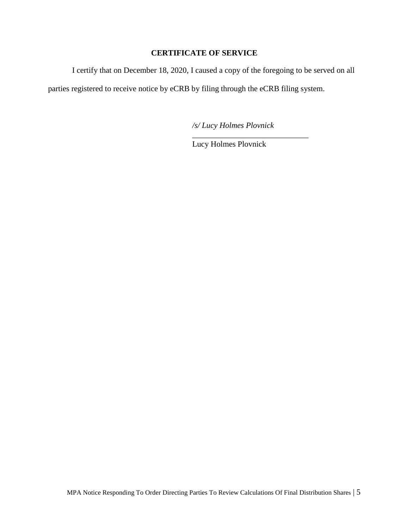## **CERTIFICATE OF SERVICE**

I certify that on December 18, 2020, I caused a copy of the foregoing to be served on all

parties registered to receive notice by eCRB by filing through the eCRB filing system.

*/s/ Lucy Holmes Plovnick*

\_\_\_\_\_\_\_\_\_\_\_\_\_\_\_\_\_\_\_\_\_\_\_\_\_\_\_\_\_

Lucy Holmes Plovnick